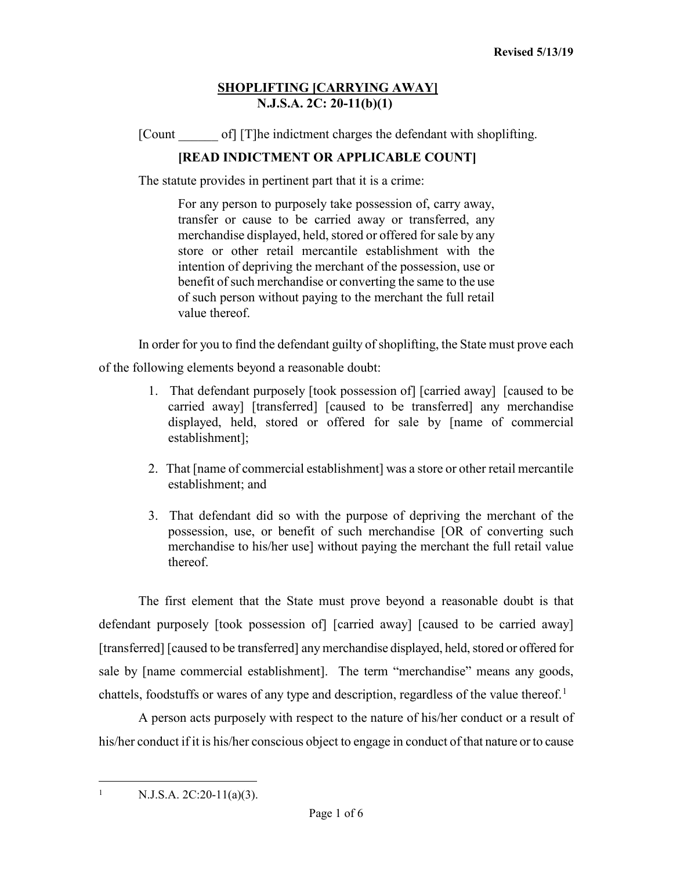[Count of] [T]he indictment charges the defendant with shoplifting.

# **[READ INDICTMENT OR APPLICABLE COUNT]**

The statute provides in pertinent part that it is a crime:

For any person to purposely take possession of, carry away, transfer or cause to be carried away or transferred, any merchandise displayed, held, stored or offered for sale by any store or other retail mercantile establishment with the intention of depriving the merchant of the possession, use or benefit of such merchandise or converting the same to the use of such person without paying to the merchant the full retail value thereof.

In order for you to find the defendant guilty of shoplifting, the State must prove each

of the following elements beyond a reasonable doubt:

- 1. That defendant purposely [took possession of] [carried away] [caused to be carried away] [transferred] [caused to be transferred] any merchandise displayed, held, stored or offered for sale by [name of commercial establishment];
- 2. That [name of commercial establishment] was a store or other retail mercantile establishment; and
- 3. That defendant did so with the purpose of depriving the merchant of the possession, use, or benefit of such merchandise [OR of converting such merchandise to his/her use] without paying the merchant the full retail value thereof.

The first element that the State must prove beyond a reasonable doubt is that defendant purposely [took possession of] [carried away] [caused to be carried away] [transferred] [caused to be transferred] any merchandise displayed, held, stored or offered for sale by [name commercial establishment]. The term "merchandise" means any goods, chattels, foodstuffs or wares of any type and description, regardless of the value thereof.<sup>[1](#page-0-0)</sup>

A person acts purposely with respect to the nature of his/her conduct or a result of his/her conduct if it is his/her conscious object to engage in conduct of that nature or to cause

<span id="page-0-0"></span> $1$  N.J.S.A. 2C:20-11(a)(3).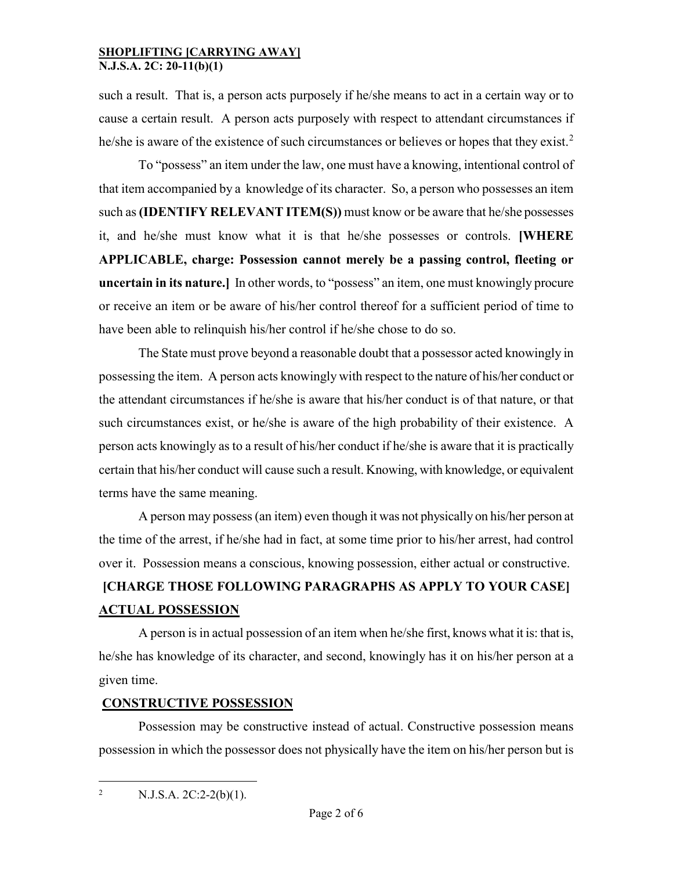such a result. That is, a person acts purposely if he/she means to act in a certain way or to cause a certain result. A person acts purposely with respect to attendant circumstances if he/she is aware of the existence of such circumstances or believes or hopes that they exist.<sup>[2](#page-1-0)</sup>

To "possess" an item under the law, one must have a knowing, intentional control of that item accompanied by a knowledge of its character. So, a person who possesses an item such as **(IDENTIFY RELEVANT ITEM(S))** must know or be aware that he/she possesses it, and he/she must know what it is that he/she possesses or controls. **[WHERE APPLICABLE, charge: Possession cannot merely be a passing control, fleeting or uncertain in its nature.]** In other words, to "possess" an item, one must knowingly procure or receive an item or be aware of his/her control thereof for a sufficient period of time to have been able to relinquish his/her control if he/she chose to do so.

The State must prove beyond a reasonable doubt that a possessor acted knowingly in possessing the item. A person acts knowingly with respect to the nature of his/her conduct or the attendant circumstances if he/she is aware that his/her conduct is of that nature, or that such circumstances exist, or he/she is aware of the high probability of their existence. A person acts knowingly as to a result of his/her conduct if he/she is aware that it is practically certain that his/her conduct will cause such a result. Knowing, with knowledge, or equivalent terms have the same meaning.

A person may possess (an item) even though it was not physically on his/her person at the time of the arrest, if he/she had in fact, at some time prior to his/her arrest, had control over it. Possession means a conscious, knowing possession, either actual or constructive.

# **[CHARGE THOSE FOLLOWING PARAGRAPHS AS APPLY TO YOUR CASE] ACTUAL POSSESSION**

A person is in actual possession of an item when he/she first, knows what it is: that is, he/she has knowledge of its character, and second, knowingly has it on his/her person at a given time.

## **CONSTRUCTIVE POSSESSION**

Possession may be constructive instead of actual. Constructive possession means possession in which the possessor does not physically have the item on his/her person but is

<span id="page-1-0"></span><sup>2</sup> N.J.S.A. 2C:2-2(b)(1).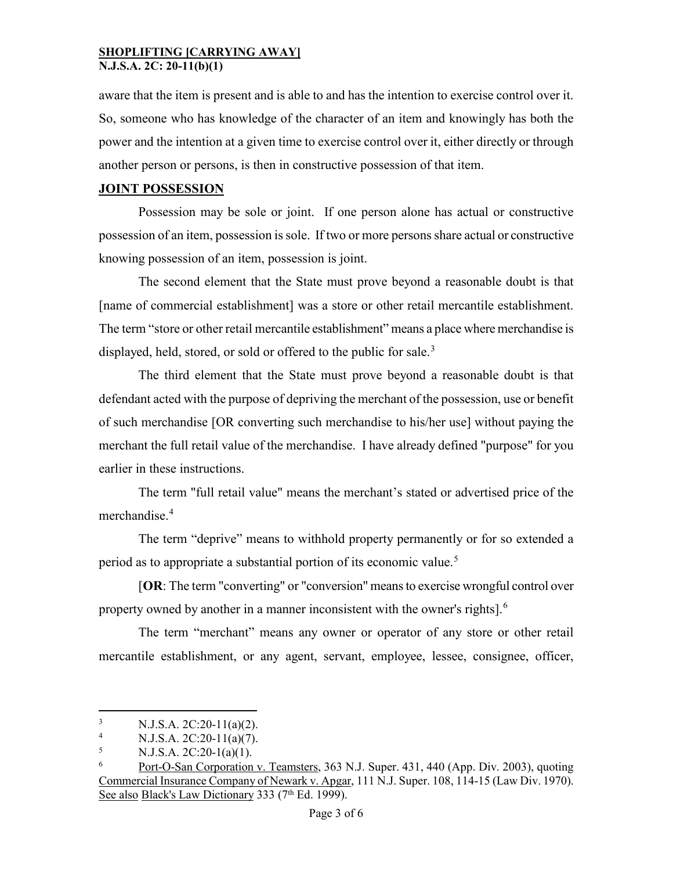aware that the item is present and is able to and has the intention to exercise control over it. So, someone who has knowledge of the character of an item and knowingly has both the power and the intention at a given time to exercise control over it, either directly or through another person or persons, is then in constructive possession of that item.

### **JOINT POSSESSION**

Possession may be sole or joint. If one person alone has actual or constructive possession of an item, possession is sole. If two or more persons share actual or constructive knowing possession of an item, possession is joint.

The second element that the State must prove beyond a reasonable doubt is that [name of commercial establishment] was a store or other retail mercantile establishment. The term "store or other retail mercantile establishment" means a place where merchandise is displayed, held, stored, or sold or offered to the public for sale.<sup>[3](#page-2-0)</sup>

The third element that the State must prove beyond a reasonable doubt is that defendant acted with the purpose of depriving the merchant of the possession, use or benefit of such merchandise [OR converting such merchandise to his/her use] without paying the merchant the full retail value of the merchandise. I have already defined "purpose" for you earlier in these instructions.

The term "full retail value" means the merchant's stated or advertised price of the merchandise.[4](#page-2-1)

The term "deprive" means to withhold property permanently or for so extended a period as to appropriate a substantial portion of its economic value.<sup>[5](#page-2-2)</sup>

[**OR**: The term "converting" or "conversion" means to exercise wrongful control over property owned by another in a manner inconsistent with the owner's rights].<sup>[6](#page-2-3)</sup>

The term "merchant" means any owner or operator of any store or other retail mercantile establishment, or any agent, servant, employee, lessee, consignee, officer,

<span id="page-2-0"></span><sup>&</sup>lt;sup>3</sup> N.J.S.A. 2C:20-11(a)(2).

<span id="page-2-1"></span><sup>&</sup>lt;sup>4</sup> N.J.S.A. 2C:20-11(a)(7).<br>
N I S A 2C:20-1(a)(1)

<span id="page-2-2"></span><sup>5</sup> N.J.S.A. 2C:20-1(a)(1).

<span id="page-2-3"></span><sup>6</sup> Port-O-San Corporation v. Teamsters, 363 N.J. Super. 431, 440 (App. Div. 2003), quoting Commercial Insurance Company of Newark v. Apgar, 111 N.J. Super. 108, 114-15 (Law Div. 1970). See also Black's Law Dictionary 333 (7<sup>th</sup> Ed. 1999).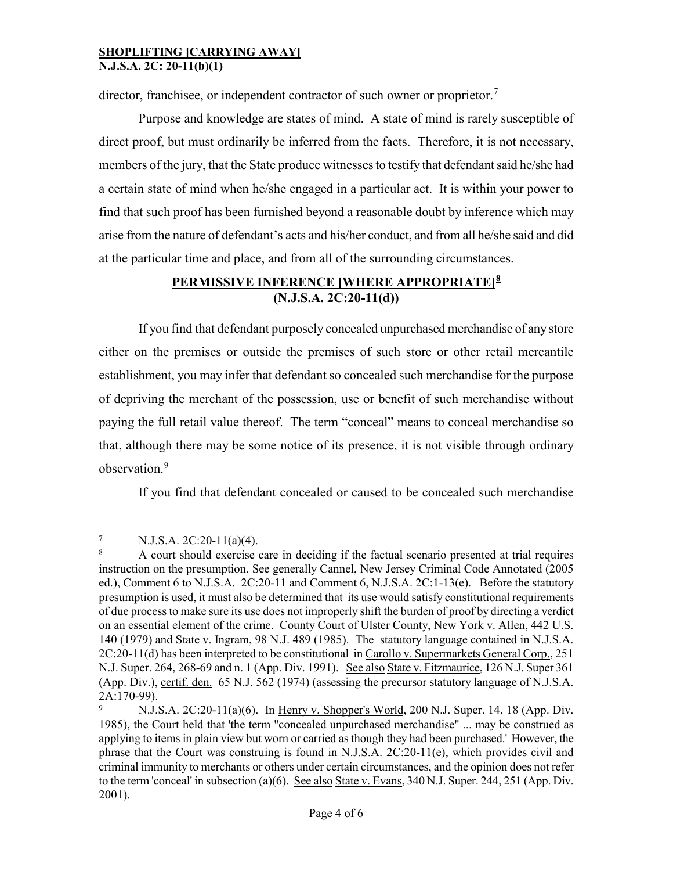director, franchisee, or independent contractor of such owner or proprietor.<sup>[7](#page-3-0)</sup>

Purpose and knowledge are states of mind. A state of mind is rarely susceptible of direct proof, but must ordinarily be inferred from the facts. Therefore, it is not necessary, members of the jury, that the State produce witnesses to testify that defendant said he/she had a certain state of mind when he/she engaged in a particular act. It is within your power to find that such proof has been furnished beyond a reasonable doubt by inference which may arise from the nature of defendant's acts and his/her conduct, and from all he/she said and did at the particular time and place, and from all of the surrounding circumstances.

# **PERMISSIVE INFERENCE [WHERE APPROPRIATE][8](#page-3-1) (N.J.S.A. 2C:20-11(d))**

If you find that defendant purposely concealed unpurchased merchandise of any store either on the premises or outside the premises of such store or other retail mercantile establishment, you may infer that defendant so concealed such merchandise for the purpose of depriving the merchant of the possession, use or benefit of such merchandise without paying the full retail value thereof. The term "conceal" means to conceal merchandise so that, although there may be some notice of its presence, it is not visible through ordinary observation.<sup>[9](#page-3-2)</sup>

If you find that defendant concealed or caused to be concealed such merchandise

<span id="page-3-0"></span> $\frac{7}{8}$  N.J.S.A. 2C:20-11(a)(4).

<span id="page-3-1"></span><sup>8</sup> A court should exercise care in deciding if the factual scenario presented at trial requires instruction on the presumption. See generally Cannel, New Jersey Criminal Code Annotated (2005 ed.), Comment 6 to N.J.S.A. 2C:20-11 and Comment 6, N.J.S.A. 2C:1-13(e). Before the statutory presumption is used, it must also be determined that its use would satisfy constitutional requirements of due process to make sure its use does not improperly shift the burden of proof by directing a verdict on an essential element of the crime. County Court of Ulster County, New York v. Allen, 442 U.S. 140 (1979) and State v. Ingram, 98 N.J. 489 (1985). The statutory language contained in N.J.S.A. 2C:20-11(d) has been interpreted to be constitutional in Carollo v. Supermarkets General Corp., 251 N.J. Super. 264, 268-69 and n. 1 (App. Div. 1991). See also State v. Fitzmaurice, 126 N.J. Super 361 (App. Div.), certif. den. 65 N.J. 562 (1974) (assessing the precursor statutory language of N.J.S.A. 2A:170-99).

<span id="page-3-2"></span><sup>9</sup> N.J.S.A. 2C:20-11(a)(6). In Henry v. Shopper's World, 200 N.J. Super. 14, 18 (App. Div. 1985), the Court held that 'the term "concealed unpurchased merchandise" ... may be construed as applying to items in plain view but worn or carried as though they had been purchased.' However, the phrase that the Court was construing is found in N.J.S.A. 2C:20-11(e), which provides civil and criminal immunity to merchants or others under certain circumstances, and the opinion does not refer to the term 'conceal' in subsection (a)(6). See also State v. Evans, 340 N.J. Super. 244, 251 (App. Div. 2001).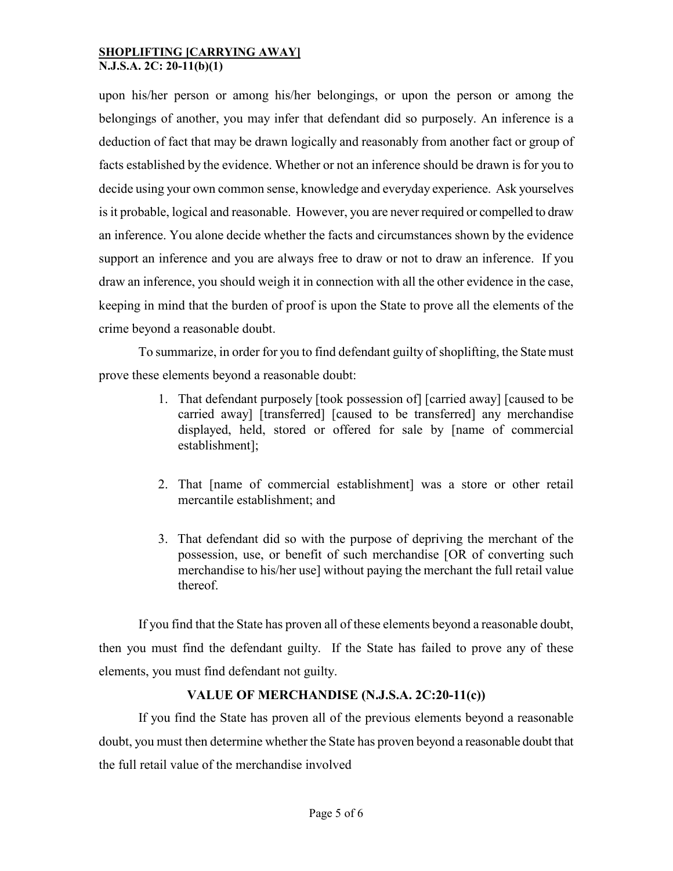upon his/her person or among his/her belongings, or upon the person or among the belongings of another, you may infer that defendant did so purposely. An inference is a deduction of fact that may be drawn logically and reasonably from another fact or group of facts established by the evidence. Whether or not an inference should be drawn is for you to decide using your own common sense, knowledge and everyday experience. Ask yourselves is it probable, logical and reasonable. However, you are never required or compelled to draw an inference. You alone decide whether the facts and circumstances shown by the evidence support an inference and you are always free to draw or not to draw an inference. If you draw an inference, you should weigh it in connection with all the other evidence in the case, keeping in mind that the burden of proof is upon the State to prove all the elements of the crime beyond a reasonable doubt.

To summarize, in order for you to find defendant guilty of shoplifting, the State must prove these elements beyond a reasonable doubt:

- 1. That defendant purposely [took possession of] [carried away] [caused to be carried away] [transferred] [caused to be transferred] any merchandise displayed, held, stored or offered for sale by [name of commercial establishment];
- 2. That [name of commercial establishment] was a store or other retail mercantile establishment; and
- 3. That defendant did so with the purpose of depriving the merchant of the possession, use, or benefit of such merchandise [OR of converting such merchandise to his/her use] without paying the merchant the full retail value thereof.

If you find that the State has proven all of these elements beyond a reasonable doubt, then you must find the defendant guilty. If the State has failed to prove any of these elements, you must find defendant not guilty.

## **VALUE OF MERCHANDISE (N.J.S.A. 2C:20-11(c))**

If you find the State has proven all of the previous elements beyond a reasonable doubt, you must then determine whether the State has proven beyond a reasonable doubt that the full retail value of the merchandise involved